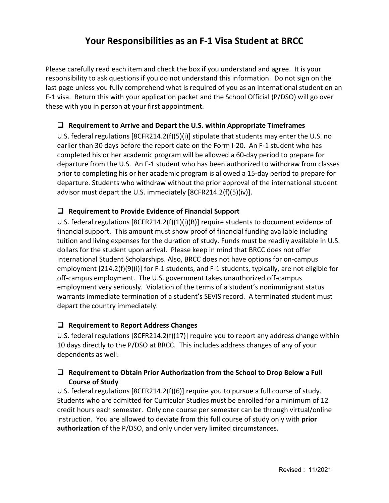# **Your Responsibilities as an F-1 Visa Student at BRCC**

Please carefully read each item and check the box if you understand and agree. It is your responsibility to ask questions if you do not understand this information. Do not sign on the last page unless you fully comprehend what is required of you as an international student on an F-1 visa. Return this with your application packet and the School Official (P/DSO) will go over these with you in person at your first appointment.

## **Requirement to Arrive and Depart the U.S. within Appropriate Timeframes**

U.S. federal regulations [8CFR214.2(f)(5)(i)] stipulate that students may enter the U.S. no earlier than 30 days before the report date on the Form I-20. An F-1 student who has completed his or her academic program will be allowed a 60-day period to prepare for departure from the U.S. An F-1 student who has been authorized to withdraw from classes prior to completing his or her academic program is allowed a 15-day period to prepare for departure. Students who withdraw without the prior approval of the international student advisor must depart the U.S. immediately [8CFR214.2(f)(5)(iv)].

# **Requirement to Provide Evidence of Financial Support**

U.S. federal regulations [8CFR214.2(f)(1)(i)(B)] require students to document evidence of financial support. This amount must show proof of financial funding available including tuition and living expenses for the duration of study. Funds must be readily available in U.S. dollars for the student upon arrival. Please keep in mind that BRCC does not offer International Student Scholarships. Also, BRCC does not have options for on-campus employment [214.2(f)(9)(i)] for F-1 students, and F-1 students, typically, are not eligible for off-campus employment. The U.S. government takes unauthorized off-campus employment very seriously. Violation of the terms of a student's nonimmigrant status warrants immediate termination of a student's SEVIS record. A terminated student must depart the country immediately.

# **Requirement to Report Address Changes**

U.S. federal regulations [8CFR214.2(f)(17)] require you to report any address change within 10 days directly to the P/DSO at BRCC. This includes address changes of any of your dependents as well.

# **Requirement to Obtain Prior Authorization from the School to Drop Below a Full Course of Study**

U.S. federal regulations [8CFR214.2(f)(6)] require you to pursue a full course of study. Students who are admitted for Curricular Studies must be enrolled for a minimum of 12 credit hours each semester. Only one course per semester can be through virtual/online instruction. You are allowed to deviate from this full course of study only with **prior authorization** of the P/DSO, and only under very limited circumstances.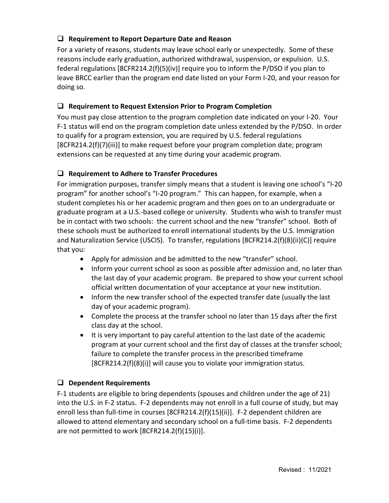# **Requirement to Report Departure Date and Reason**

For a variety of reasons, students may leave school early or unexpectedly. Some of these reasons include early graduation, authorized withdrawal, suspension, or expulsion. U.S. federal regulations [8CFR214.2(f)(5)(iv)] require you to inform the P/DSO if you plan to leave BRCC earlier than the program end date listed on your Form I-20, and your reason for doing so.

## **Requirement to Request Extension Prior to Program Completion**

You must pay close attention to the program completion date indicated on your I-20. Your F-1 status will end on the program completion date unless extended by the P/DSO. In order to qualify for a program extension, you are required by U.S. federal regulations [8CFR214.2(f)(7)(iii)] to make request before your program completion date; program extensions can be requested at any time during your academic program.

## **Requirement to Adhere to Transfer Procedures**

For immigration purposes, transfer simply means that a student is leaving one school's "I-20 program" for another school's "I-20 program." This can happen, for example, when a student completes his or her academic program and then goes on to an undergraduate or graduate program at a U.S.-based college or university. Students who wish to transfer must be in contact with two schools: the current school and the new "transfer" school. Both of these schools must be authorized to enroll international students by the U.S. Immigration and Naturalization Service (USCIS). To transfer, regulations [8CFR214.2(f)(8)(ii)(C)] require that you:

- Apply for admission and be admitted to the new "transfer" school.
- Inform your current school as soon as possible after admission and, no later than the last day of your academic program. Be prepared to show your current school official written documentation of your acceptance at your new institution.
- Inform the new transfer school of the expected transfer date (usually the last day of your academic program).
- Complete the process at the transfer school no later than 15 days after the first class day at the school.
- It is very important to pay careful attention to the last date of the academic program at your current school and the first day of classes at the transfer school; failure to complete the transfer process in the prescribed timeframe [8CFR214.2(f)(8)(i)] will cause you to violate your immigration status.

### **Dependent Requirements**

F-1 students are eligible to bring dependents (spouses and children under the age of 21) into the U.S. in F-2 status. F-2 dependents may not enroll in a full course of study, but may enroll less than full-time in courses [8CFR214.2(f)(15)(ii)]. F-2 dependent children are allowed to attend elementary and secondary school on a full-time basis. F-2 dependents are not permitted to work [8CFR214.2(f)(15)(i)].